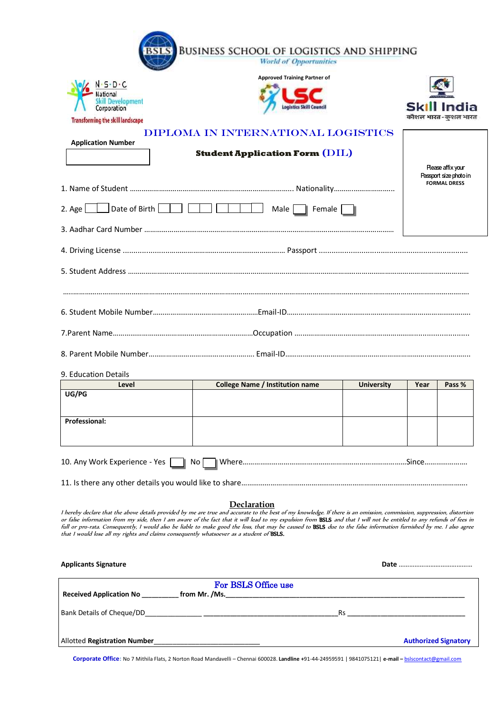|                                         | <b>Approved Training Partner of</b>                |                   |                                   |                                               |
|-----------------------------------------|----------------------------------------------------|-------------------|-----------------------------------|-----------------------------------------------|
| Development                             |                                                    |                   |                                   |                                               |
| Corporation                             |                                                    |                   | Skill India<br>कौशल भारत-कशल भारत |                                               |
| <b>Transforming the skill landscape</b> | DIPLOMA IN INTERNATIONAL LOGISTICS                 |                   |                                   |                                               |
| <b>Application Number</b>               |                                                    |                   |                                   |                                               |
|                                         | <b>Student Application Form <math>(DIL)</math></b> |                   |                                   | Rease affix your                              |
|                                         |                                                    |                   |                                   | Passport size photo in<br><b>FORMAL DRESS</b> |
|                                         |                                                    |                   |                                   |                                               |
| 2. Age $\Box$ Date of Birth $\Box$      | Male Female                                        |                   |                                   |                                               |
|                                         |                                                    |                   |                                   |                                               |
|                                         |                                                    |                   |                                   |                                               |
|                                         |                                                    |                   |                                   |                                               |
|                                         |                                                    |                   |                                   |                                               |
|                                         |                                                    |                   |                                   |                                               |
|                                         |                                                    |                   |                                   |                                               |
| 9. Education Details                    |                                                    |                   |                                   |                                               |
| Level                                   | <b>College Name / Institution name</b>             | <b>University</b> | Year                              |                                               |
| UG/PG                                   |                                                    |                   |                                   |                                               |
| <b>Professional:</b>                    |                                                    |                   |                                   | Pass %                                        |
|                                         |                                                    |                   |                                   |                                               |
|                                         |                                                    |                   |                                   |                                               |
| 10. Any Work Experience - Yes           |                                                    |                   |                                   |                                               |
|                                         |                                                    |                   |                                   |                                               |
|                                         | Declaration                                        |                   |                                   |                                               |

| <b>Received Application No</b>      | For BSLS Office use<br>from Mr. /Ms. |           |                             |
|-------------------------------------|--------------------------------------|-----------|-----------------------------|
| Bank Details of Cheque/DD           |                                      | <b>Rs</b> |                             |
| <b>Allotted Registration Number</b> |                                      |           | <b>Authorized Signatory</b> |

**Corporate Office:** No 7 Mithila Flats, 2 Norton Road Mandavelli – Chennai 600028. **Landline +**91-44-24959591 | 9841075121| **e-mail –** [bslscontact@gmail.com](mailto:bslscontact@gmail.com)